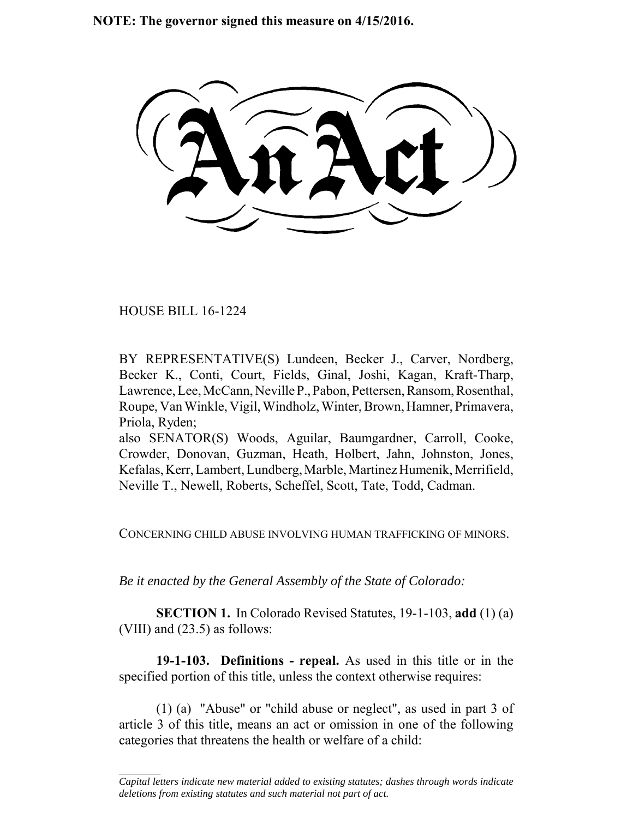**NOTE: The governor signed this measure on 4/15/2016.**

HOUSE BILL 16-1224

 $\frac{1}{2}$ 

BY REPRESENTATIVE(S) Lundeen, Becker J., Carver, Nordberg, Becker K., Conti, Court, Fields, Ginal, Joshi, Kagan, Kraft-Tharp, Lawrence, Lee, McCann, Neville P., Pabon, Pettersen, Ransom, Rosenthal, Roupe, Van Winkle, Vigil, Windholz, Winter, Brown, Hamner, Primavera, Priola, Ryden;

also SENATOR(S) Woods, Aguilar, Baumgardner, Carroll, Cooke, Crowder, Donovan, Guzman, Heath, Holbert, Jahn, Johnston, Jones, Kefalas, Kerr, Lambert, Lundberg, Marble, Martinez Humenik, Merrifield, Neville T., Newell, Roberts, Scheffel, Scott, Tate, Todd, Cadman.

CONCERNING CHILD ABUSE INVOLVING HUMAN TRAFFICKING OF MINORS.

*Be it enacted by the General Assembly of the State of Colorado:*

**SECTION 1.** In Colorado Revised Statutes, 19-1-103, **add** (1) (a) (VIII) and (23.5) as follows:

**19-1-103. Definitions - repeal.** As used in this title or in the specified portion of this title, unless the context otherwise requires:

(1) (a) "Abuse" or "child abuse or neglect", as used in part 3 of article 3 of this title, means an act or omission in one of the following categories that threatens the health or welfare of a child:

*Capital letters indicate new material added to existing statutes; dashes through words indicate deletions from existing statutes and such material not part of act.*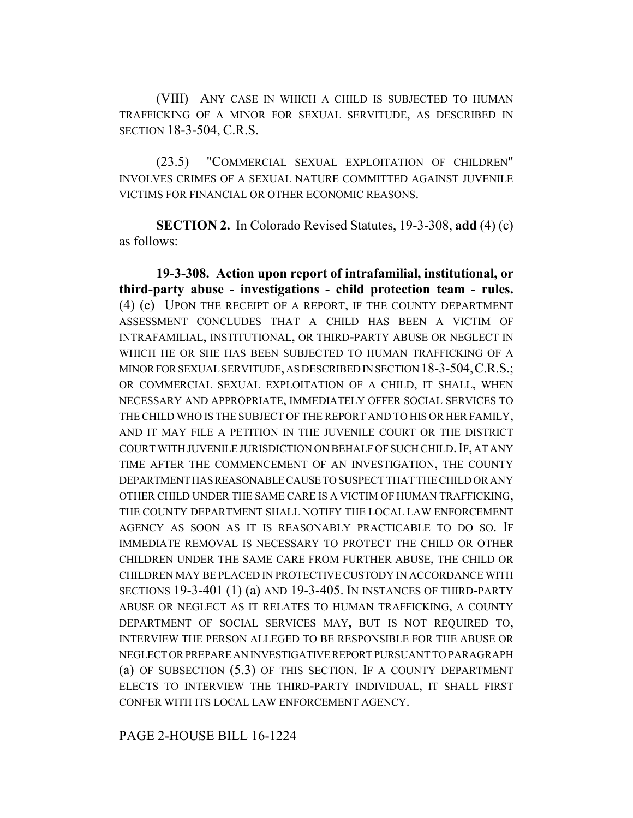(VIII) ANY CASE IN WHICH A CHILD IS SUBJECTED TO HUMAN TRAFFICKING OF A MINOR FOR SEXUAL SERVITUDE, AS DESCRIBED IN SECTION 18-3-504, C.R.S.

(23.5) "COMMERCIAL SEXUAL EXPLOITATION OF CHILDREN" INVOLVES CRIMES OF A SEXUAL NATURE COMMITTED AGAINST JUVENILE VICTIMS FOR FINANCIAL OR OTHER ECONOMIC REASONS.

**SECTION 2.** In Colorado Revised Statutes, 19-3-308, **add** (4) (c) as follows:

**19-3-308. Action upon report of intrafamilial, institutional, or third-party abuse - investigations - child protection team - rules.** (4) (c) UPON THE RECEIPT OF A REPORT, IF THE COUNTY DEPARTMENT ASSESSMENT CONCLUDES THAT A CHILD HAS BEEN A VICTIM OF INTRAFAMILIAL, INSTITUTIONAL, OR THIRD-PARTY ABUSE OR NEGLECT IN WHICH HE OR SHE HAS BEEN SUBJECTED TO HUMAN TRAFFICKING OF A MINOR FOR SEXUAL SERVITUDE, AS DESCRIBED IN SECTION 18-3-504,C.R.S.; OR COMMERCIAL SEXUAL EXPLOITATION OF A CHILD, IT SHALL, WHEN NECESSARY AND APPROPRIATE, IMMEDIATELY OFFER SOCIAL SERVICES TO THE CHILD WHO IS THE SUBJECT OF THE REPORT AND TO HIS OR HER FAMILY, AND IT MAY FILE A PETITION IN THE JUVENILE COURT OR THE DISTRICT COURT WITH JUVENILE JURISDICTION ON BEHALF OF SUCH CHILD. IF, AT ANY TIME AFTER THE COMMENCEMENT OF AN INVESTIGATION, THE COUNTY DEPARTMENT HAS REASONABLE CAUSE TO SUSPECT THAT THE CHILD OR ANY OTHER CHILD UNDER THE SAME CARE IS A VICTIM OF HUMAN TRAFFICKING, THE COUNTY DEPARTMENT SHALL NOTIFY THE LOCAL LAW ENFORCEMENT AGENCY AS SOON AS IT IS REASONABLY PRACTICABLE TO DO SO. IF IMMEDIATE REMOVAL IS NECESSARY TO PROTECT THE CHILD OR OTHER CHILDREN UNDER THE SAME CARE FROM FURTHER ABUSE, THE CHILD OR CHILDREN MAY BE PLACED IN PROTECTIVE CUSTODY IN ACCORDANCE WITH SECTIONS 19-3-401 (1) (a) AND 19-3-405. IN INSTANCES OF THIRD-PARTY ABUSE OR NEGLECT AS IT RELATES TO HUMAN TRAFFICKING, A COUNTY DEPARTMENT OF SOCIAL SERVICES MAY, BUT IS NOT REQUIRED TO, INTERVIEW THE PERSON ALLEGED TO BE RESPONSIBLE FOR THE ABUSE OR NEGLECT OR PREPARE AN INVESTIGATIVE REPORT PURSUANT TO PARAGRAPH (a) OF SUBSECTION (5.3) OF THIS SECTION. IF A COUNTY DEPARTMENT ELECTS TO INTERVIEW THE THIRD-PARTY INDIVIDUAL, IT SHALL FIRST CONFER WITH ITS LOCAL LAW ENFORCEMENT AGENCY.

PAGE 2-HOUSE BILL 16-1224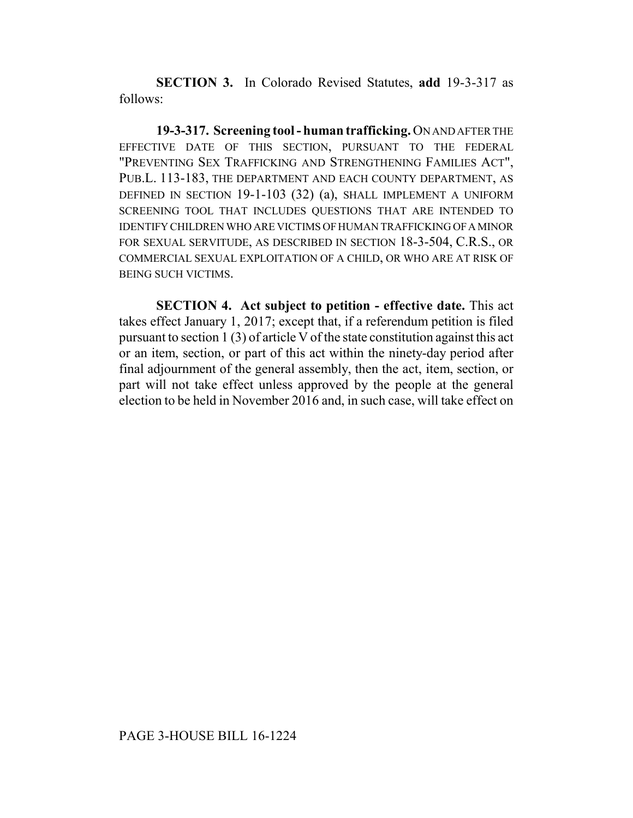**SECTION 3.** In Colorado Revised Statutes, **add** 19-3-317 as follows:

**19-3-317. Screening tool - human trafficking.** ON AND AFTER THE EFFECTIVE DATE OF THIS SECTION, PURSUANT TO THE FEDERAL "PREVENTING SEX TRAFFICKING AND STRENGTHENING FAMILIES ACT", PUB.L. 113-183, THE DEPARTMENT AND EACH COUNTY DEPARTMENT, AS DEFINED IN SECTION 19-1-103 (32) (a), SHALL IMPLEMENT A UNIFORM SCREENING TOOL THAT INCLUDES QUESTIONS THAT ARE INTENDED TO IDENTIFY CHILDREN WHO ARE VICTIMS OF HUMAN TRAFFICKING OF A MINOR FOR SEXUAL SERVITUDE, AS DESCRIBED IN SECTION 18-3-504, C.R.S., OR COMMERCIAL SEXUAL EXPLOITATION OF A CHILD, OR WHO ARE AT RISK OF BEING SUCH VICTIMS.

**SECTION 4. Act subject to petition - effective date.** This act takes effect January 1, 2017; except that, if a referendum petition is filed pursuant to section 1 (3) of article V of the state constitution against this act or an item, section, or part of this act within the ninety-day period after final adjournment of the general assembly, then the act, item, section, or part will not take effect unless approved by the people at the general election to be held in November 2016 and, in such case, will take effect on